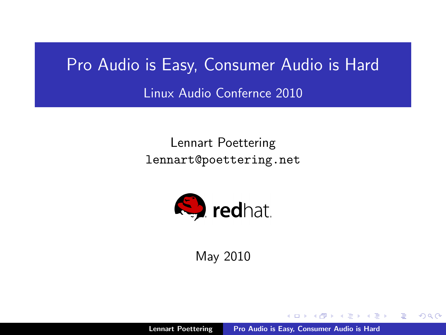# Pro Audio is Easy, Consumer Audio is Hard

Linux Audio Confernce 2010

Lennart Poettering lennart@poettering.net



May 2010

Lennart Poettering [Pro Audio is Easy, Consumer Audio is Hard](#page-71-0)

<span id="page-0-0"></span>**SACTOR**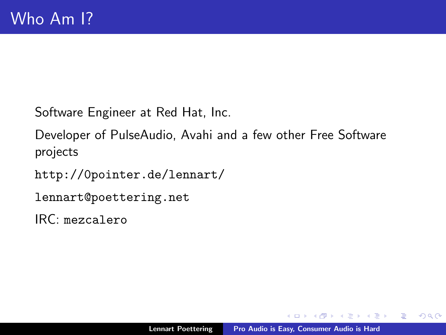Software Engineer at Red Hat, Inc.

Developer of PulseAudio, Avahi and a few other Free Software projects

<http://0pointer.de/lennart/>

lennart@poettering.net

IRC: mezcalero

 $\rightarrow$   $\pm$   $\rightarrow$ 

 $\rightarrow$   $\pm$   $\rightarrow$ 

 $2Q$ 

扂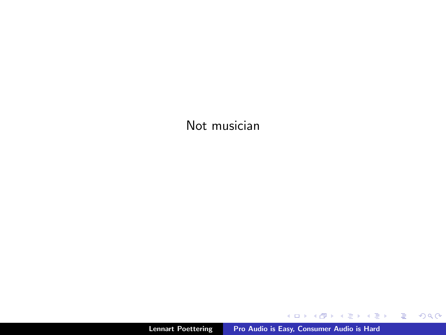#### Not musician

K ロ X x (日) X X ミ X X ミ X → (日) X X → (ミ) → (三) → (三) → (二)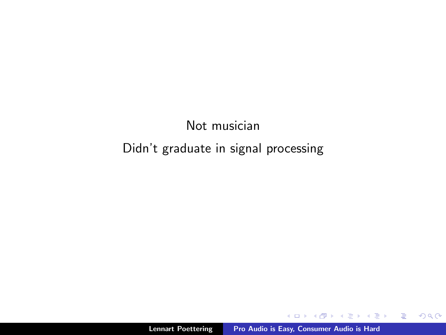### Not musician Didn't graduate in signal processing

 $\leftarrow$  m.

A  $\sim$  $\rightarrow$   $\equiv$  $\sim$  ∢ 重う

È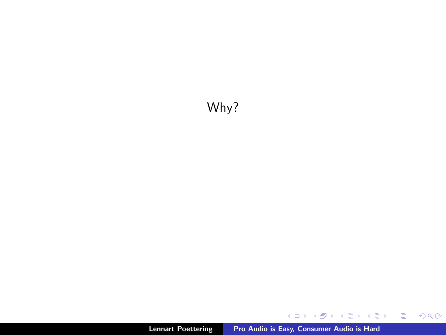### Why?

メロメ メタメ メミメ メミメン 差し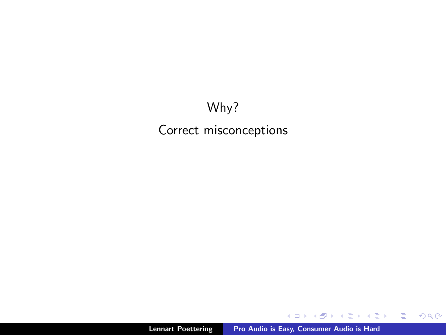### Why? Correct misconceptions

K ロ ▶ K 御 ▶ K 君 ▶ K 君 ▶ ...

目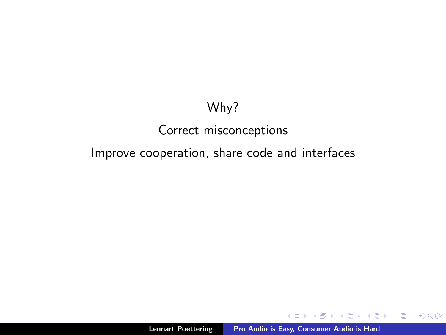### Why?

### Correct misconceptions

Improve cooperation, share code and interfaces

a mills.

メ団 トメ ヨ トメ ヨ トー

目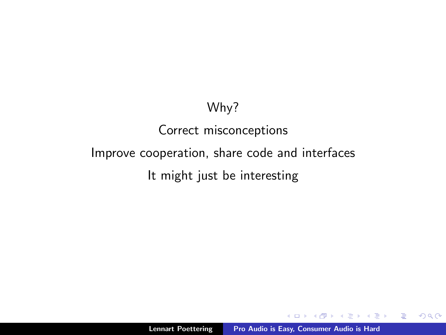### Why?

## Correct misconceptions

Improve cooperation, share code and interfaces

It might just be interesting

 $\leftarrow$   $\Box$ 

用 レイチャ

一 三 三 ト

重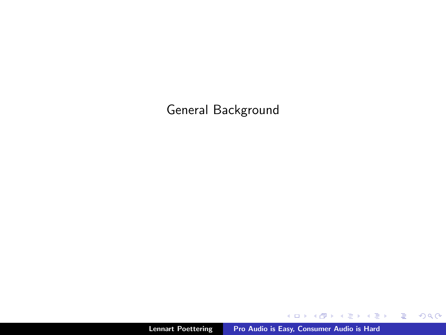General Background

K ロ ▶ K @ ▶ K 할 ▶ K 할 ▶ ... 할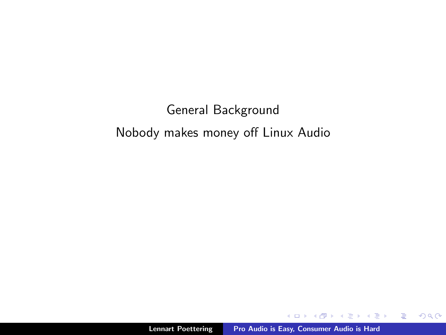### General Background Nobody makes money off Linux Audio

 $4.171.6$ 

 $\rightarrow$   $\pm$   $\rightarrow$ 

 $\Box$ 

 $\rightarrow \equiv$ 

È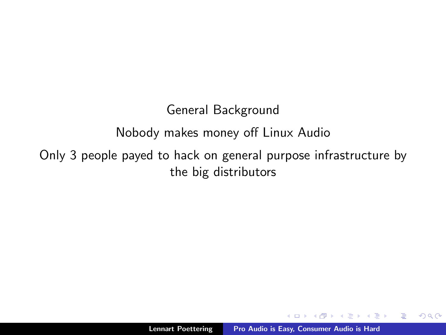### General Background

### Nobody makes money off Linux Audio

Only 3 people payed to hack on general purpose infrastructure by the big distributors

 $\epsilon = 1$ 

重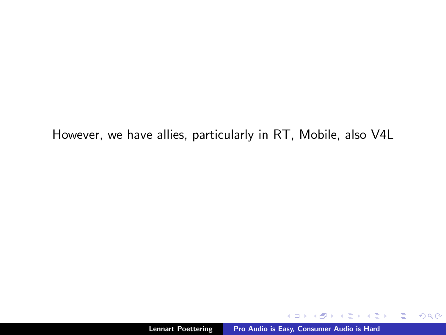However, we have allies, particularly in RT, Mobile, also V4L

 $-0.11$ 

用 レイチャ

一 4 (重) 8

目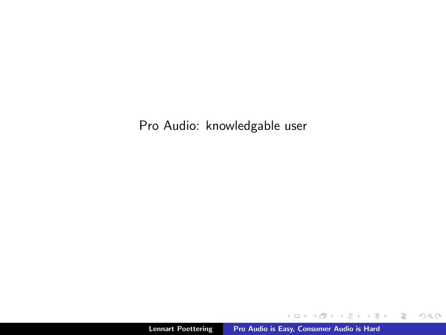Pro Audio: knowledgable user

K ロ ▶ K 御 ▶ K 君 ▶ K 君 ▶ ...

目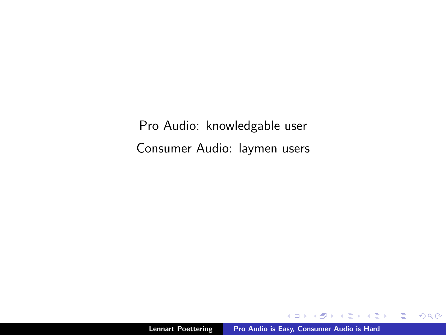Pro Audio: knowledgable user Consumer Audio: laymen users

 $4.171.6$ 

一 4 差 下

 $\Box$ 

∢ 重→

È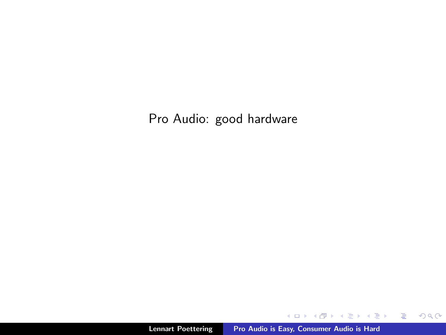Pro Audio: good hardware

**Kロト K包ト** 

一 4 差 下

 $\rightarrow$   $\equiv$   $\rightarrow$ 目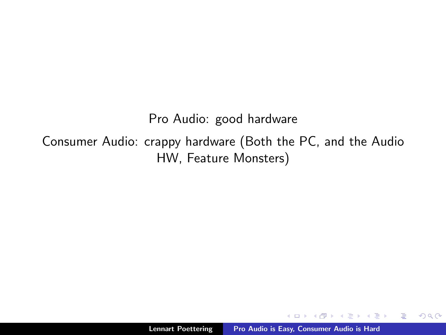Pro Audio: good hardware

Consumer Audio: crappy hardware (Both the PC, and the Audio HW, Feature Monsters)

 $\leftarrow$   $\Box$ 

 $\rightarrow$   $\equiv$   $\rightarrow$ 

 $\leftarrow$   $\equiv$   $\rightarrow$ 

重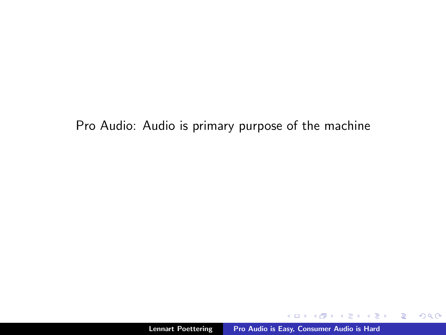Pro Audio: Audio is primary purpose of the machine

a mills.

K 御 ⊁ K 唐 ⊁ K 唐 ⊁

重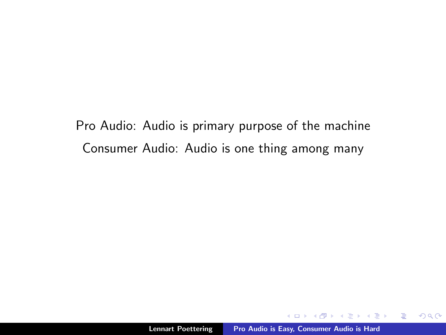Pro Audio: Audio is primary purpose of the machine Consumer Audio: Audio is one thing among many

 $\epsilon \equiv$ 

 $\sim$ 

重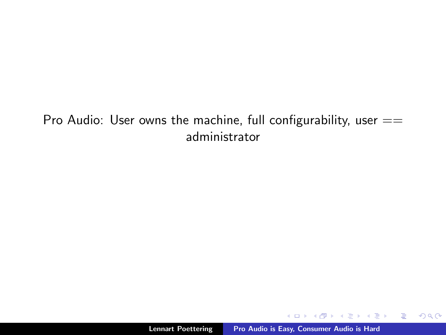#### Pro Audio: User owns the machine, full configurability, user  $==$ administrator

a mills.

メ御 トメ ヨ トメ ヨ トー

目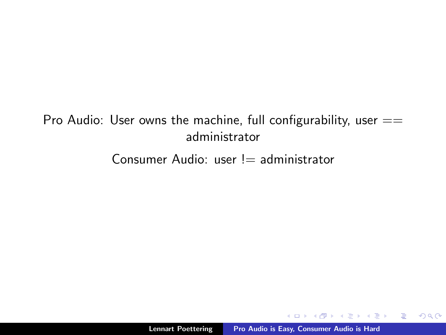### Pro Audio: User owns the machine, full configurability, user  $==$ administrator

Consumer Audio: user  $!=$  administrator

 $4.171.6$ 

御き メミメ メミメー

重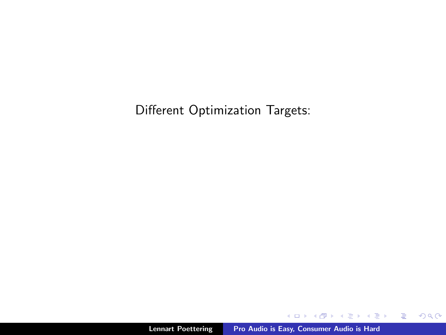Different Optimization Targets:

イロメ イ部メ イヨメ イヨメー

目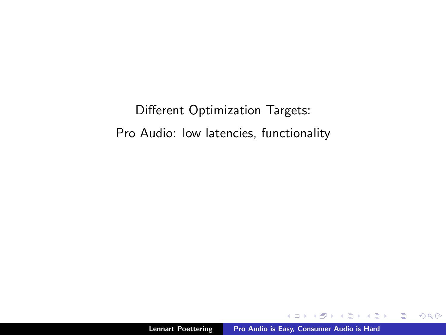Different Optimization Targets: Pro Audio: low latencies, functionality

 $4.171.6$ 

A  $\sim$  $\rightarrow$   $\pm$   $\rightarrow$  ∢ 重→

重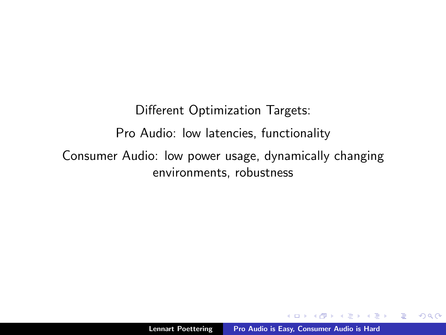Different Optimization Targets: Pro Audio: low latencies, functionality Consumer Audio: low power usage, dynamically changing environments, robustness

 $2Q$ 

目

4 三 日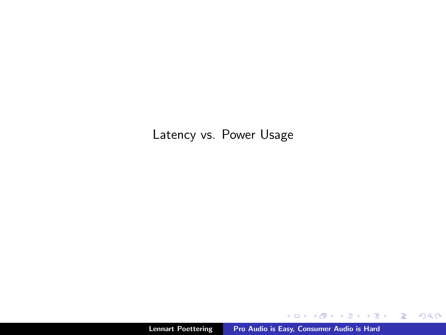#### Latency vs. Power Usage

**K ロ ト K 何 ト K ミ ト** 

- K 등 X - 1 등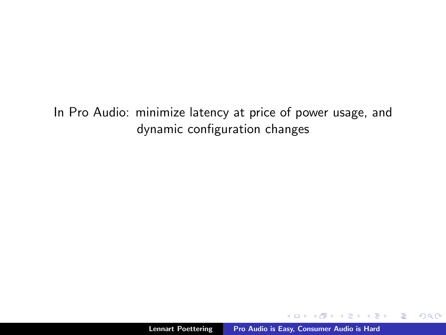In Pro Audio: minimize latency at price of power usage, and dynamic configuration changes

 $\leftarrow$   $\Box$ 

 $\sim$ **ALCOHOL:**   $\epsilon = 1$ 

重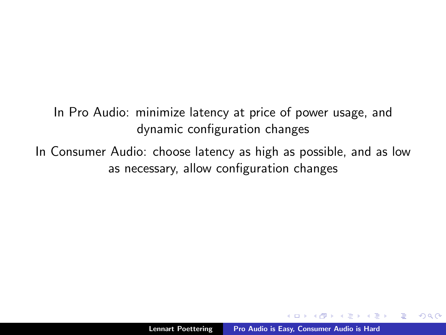In Pro Audio: minimize latency at price of power usage, and dynamic configuration changes

In Consumer Audio: choose latency as high as possible, and as low as necessary, allow configuration changes

 $2Q$ 

后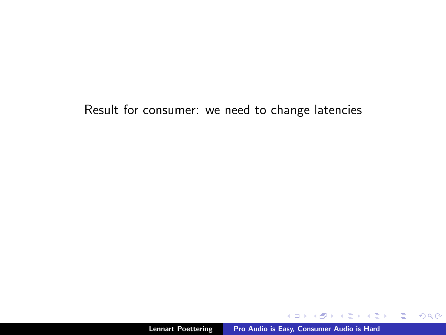Result for consumer: we need to change latencies

K ロ > K 個 > K 君 > K 君 > 「君」 の Q (^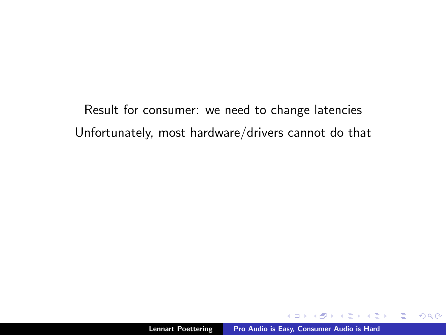Result for consumer: we need to change latencies Unfortunately, most hardware/drivers cannot do that

 $\leftarrow$   $\Box$ 

御き メミメ メミメー

重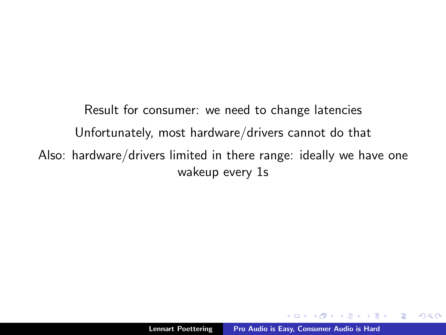Result for consumer: we need to change latencies Unfortunately, most hardware/drivers cannot do that Also: hardware/drivers limited in there range: ideally we have one wakeup every 1s

 $\epsilon = 1$ 

重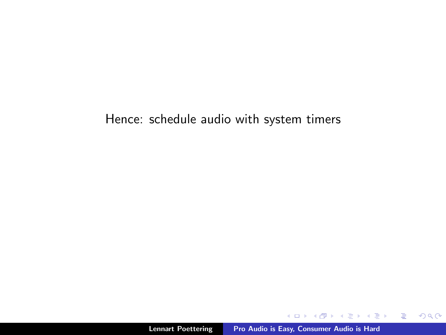#### Hence: schedule audio with system timers

K ロ ▶ K @ ▶ K 할 ▶ K 할 ▶ ... 할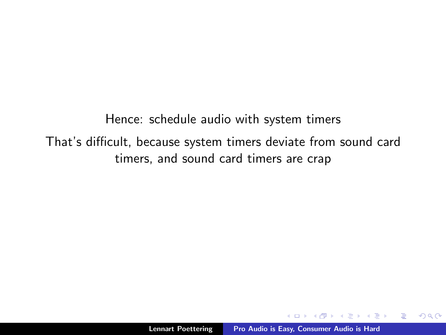Hence: schedule audio with system timers That's difficult, because system timers deviate from sound card timers, and sound card timers are crap

 $\leftarrow$   $\Box$ 

A + + = + + = +

重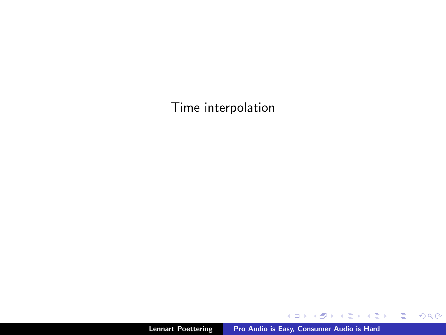Time interpolation

メロトメ 御 トメ 君 トメ 君 トッ

目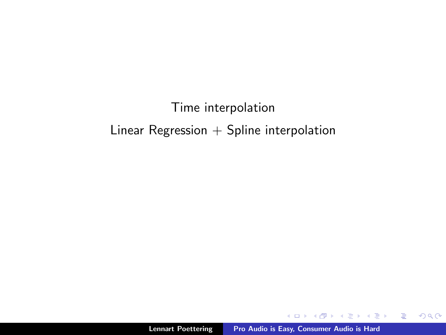### Time interpolation Linear Regression  $+$  Spline interpolation

 $4.171.6$ 

All is  $\rightarrow$   $\pm$   $\rightarrow$   $\rightarrow$ 

È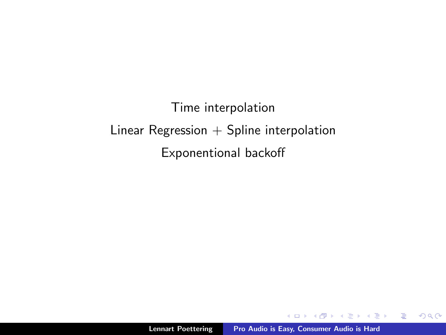Time interpolation Linear Regression  $+$  Spline interpolation Exponentional backoff

 $4.171.6$ 

K 御 ▶ K 君 ▶ K 君 ▶

È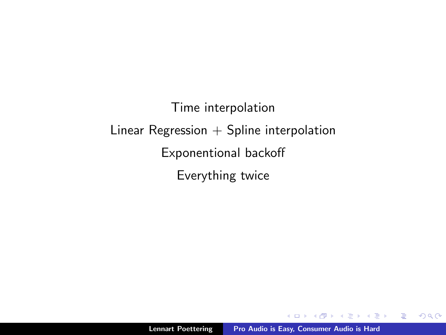Time interpolation Linear Regression  $+$  Spline interpolation Exponentional backoff Everything twice

 $4.171.6$ 

御 ▶ ス ヨ ▶ ス ヨ ▶

重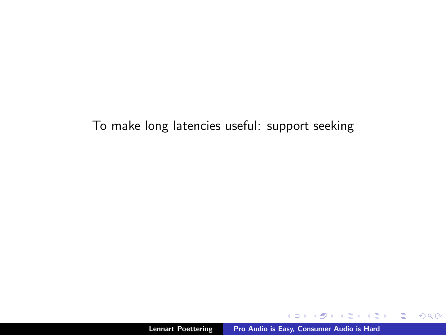### To make long latencies useful: support seeking

 $4.171.6$ 

伊 ▶ ヨ ミ ▶

 $\rightarrow \equiv$ 

重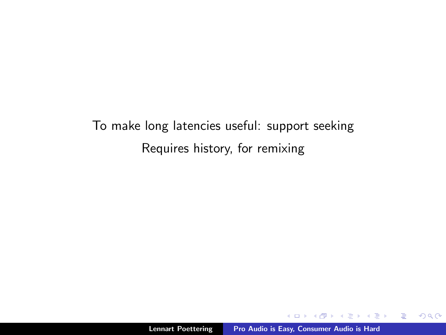To make long latencies useful: support seeking Requires history, for remixing

 $\leftarrow$   $\Box$ 

 $\sim$  $\rightarrow$   $\equiv$   $\rightarrow$   $\epsilon = 1$ 

重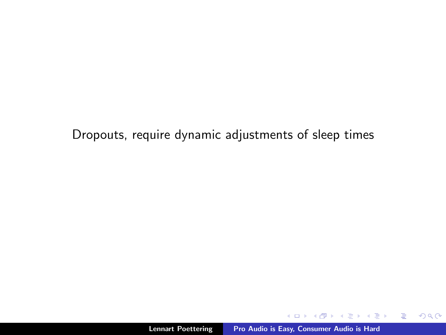Dropouts, require dynamic adjustments of sleep times

 $4.171 +$ 

A **SACTOR**  ④ 重 を…… 目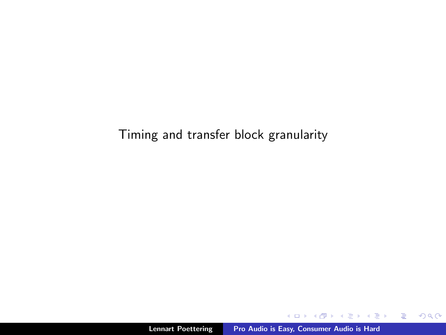### Timing and transfer block granularity

 $\leftarrow$   $\Box$ 

K 伊 ⊁ K ミ ⊁

 $\rightarrow \equiv$ 

目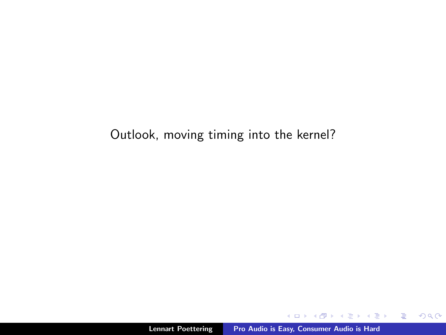### Outlook, moving timing into the kernel?

 $\leftarrow$   $\Box$ 

メタト メミト メミト

目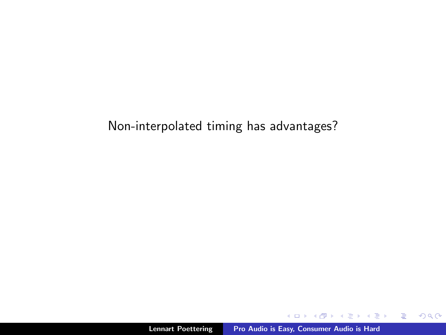### Non-interpolated timing has advantages?

 $\leftarrow$   $\Box$ 

 $4.57 + 4.77 +$ 

→ 重ずる 目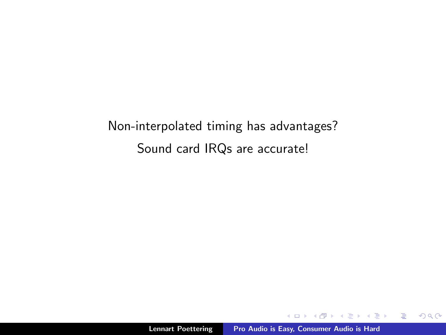Non-interpolated timing has advantages? Sound card IRQs are accurate!

 $\leftarrow$   $\Box$ 

 $\sim$  $\leftarrow$  ∢ 重う

重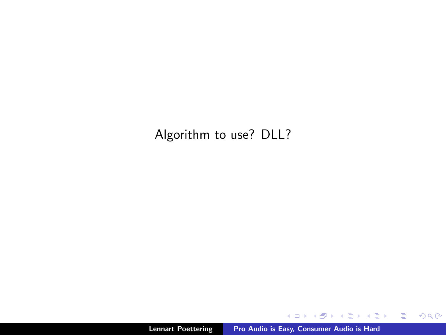Algorithm to use? DLL?

K ロ ▶ K @ ▶ K 할 ▶ K 할 ▶ ... 할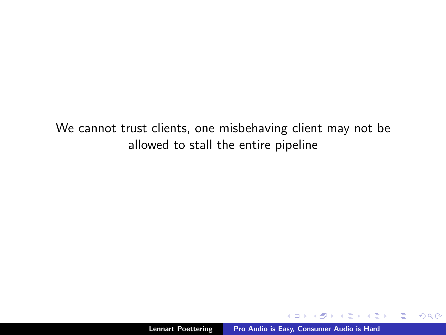We cannot trust clients, one misbehaving client may not be allowed to stall the entire pipeline

 $\leftarrow$  m.

御 ▶ ス ヨ ▶ ス ヨ ▶

重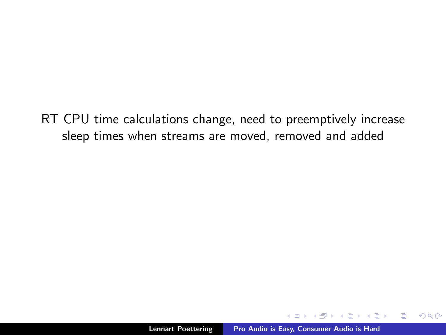RT CPU time calculations change, need to preemptively increase sleep times when streams are moved, removed and added

 $\rightarrow$   $\pm$   $\rightarrow$ 

重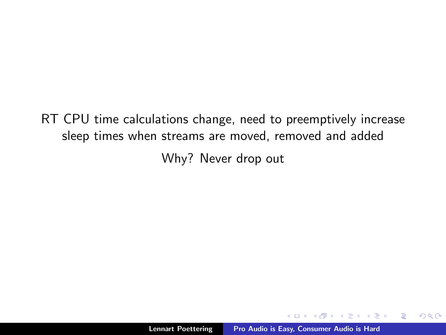RT CPU time calculations change, need to preemptively increase sleep times when streams are moved, removed and added

Why? Never drop out

 $\epsilon = 1$ 

重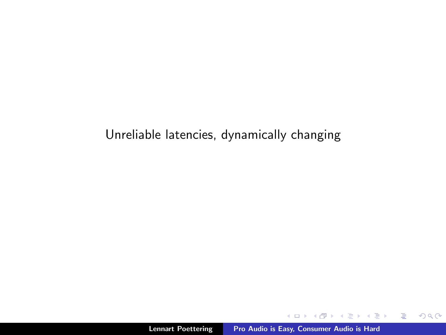### Unreliable latencies, dynamically changing

a mills.

す ランド モンド

 $\mathcal{A} \equiv \mathcal{B} \cup \mathcal{A}$ 目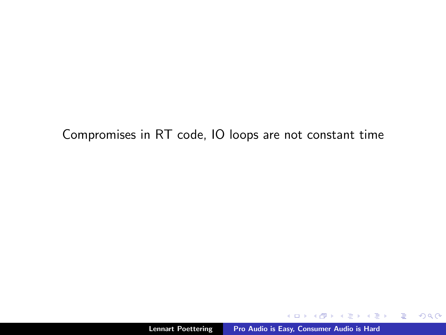Compromises in RT code, IO loops are not constant time

a mills.

イ団 トラミン マミン

目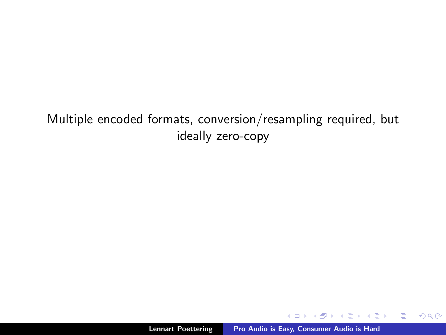Multiple encoded formats, conversion/resampling required, but ideally zero-copy

 $\leftarrow$   $\Box$ 

 $\sim$  $\left\{ \begin{array}{c} 1 \end{array} \right.$  ← 重 下

 $\equiv$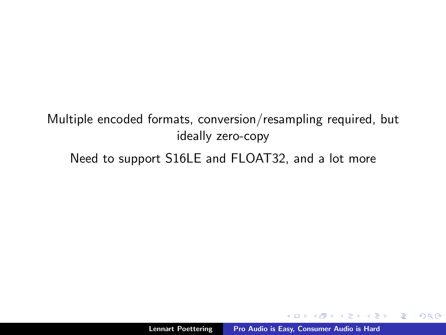Multiple encoded formats, conversion/resampling required, but ideally zero-copy

Need to support S16LE and FLOAT32, and a lot more

 $\epsilon = 1$ 

重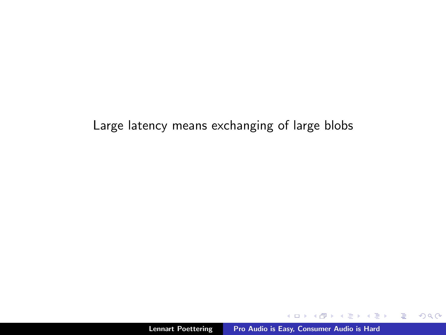Large latency means exchanging of large blobs

 $4.171 +$ 

∢ 伊 ≯ ∢ 唐 ≯

不満 おし 目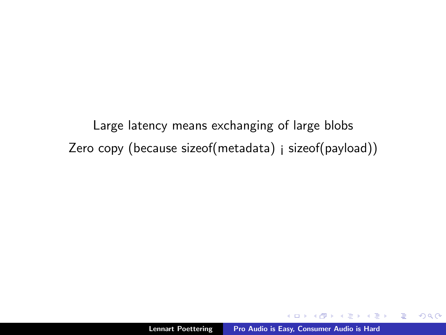Large latency means exchanging of large blobs Zero copy (because sizeof(metadata) ¡ sizeof(payload))

重

重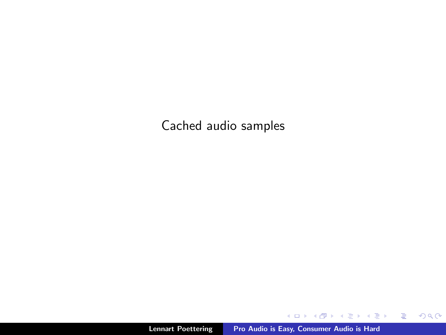Cached audio samples

K ロ ▶ K @ ▶ K 경 ▶ K 경 ▶ X 경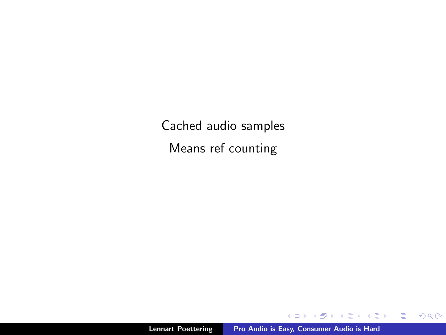Cached audio samples Means ref counting

 $\leftarrow$   $\Box$ 

×. 高  $\sim$ ∢ 重  $\sim$   $\leftarrow \Xi \rightarrow$ 

È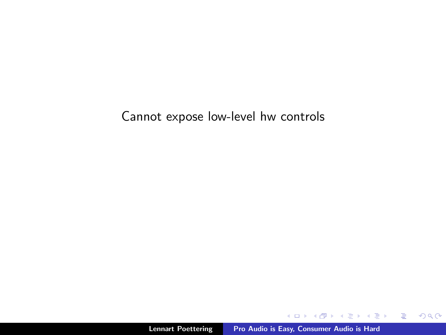Cannot expose low-level hw controls

イロメ イ部メ イヨメ イヨメー

目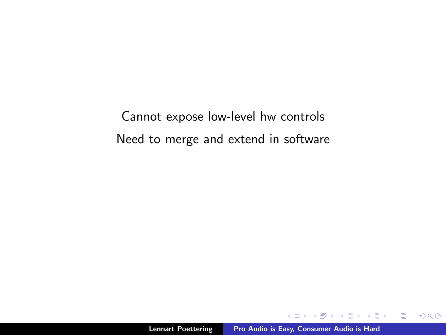Cannot expose low-level hw controls Need to merge and extend in software

 $\leftarrow$  m.

 $\rightarrow$   $\pm$   $\rightarrow$ 

AT H

∢ 重→

重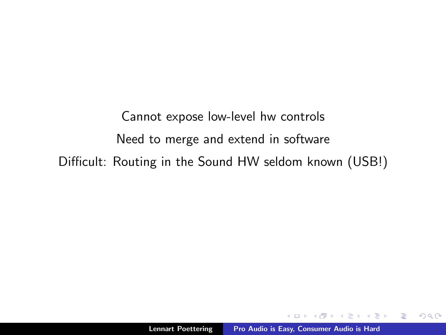Cannot expose low-level hw controls Need to merge and extend in software Difficult: Routing in the Sound HW seldom known (USB!)

医阿里氏菌素

重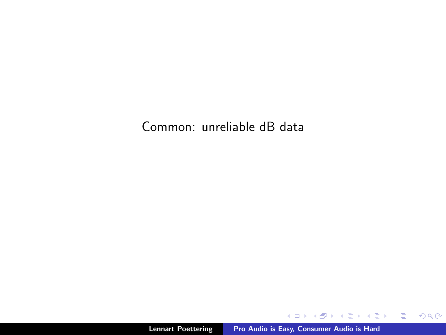Common: unreliable dB data

K ロ ▶ K 御 ▶ K 君 ▶ K 君 ▶ │ 君│ め Q Q →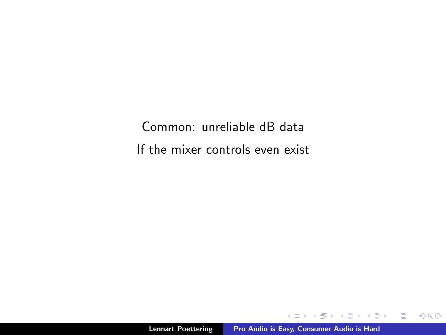Common: unreliable dB data If the mixer controls even exist

イロメ イ部メ イヨメ イヨメー

 $\equiv$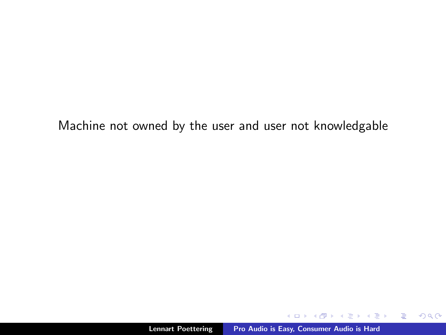Machine not owned by the user and user not knowledgable

 $\leftarrow$   $\Box$   $\rightarrow$ 

メタメ メミメ メミメー

目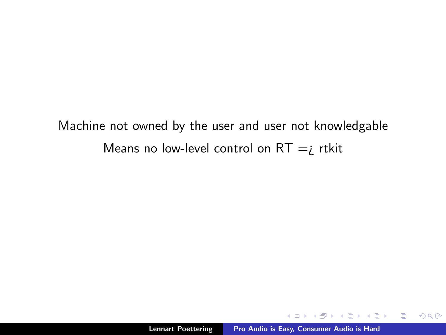Machine not owned by the user and user not knowledgable Means no low-level control on  $RT = i$  rtkit

 $4.171 +$ 

イ団 トラミン マミン

重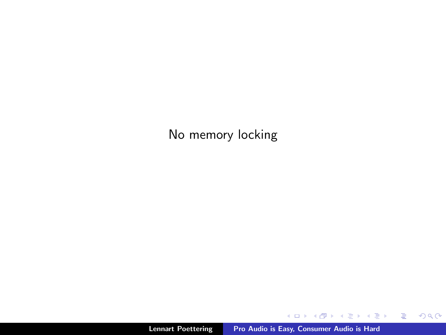No memory locking

K ロ ▶ K 御 ▶ K 君 ▶ K 君 ▶ ...

目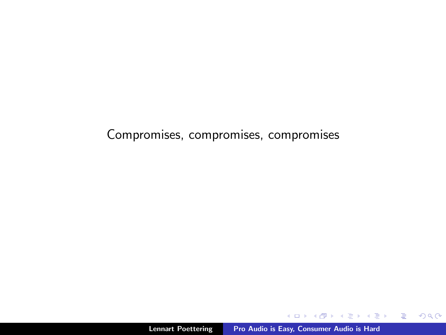Compromises, compromises, compromises

 $4.171 +$ 

∢ 重う

∢ 伊 ≯ 《 ヨ ≯

È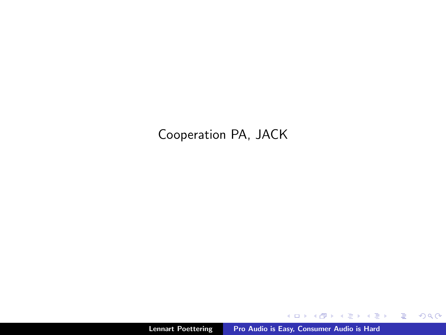# Cooperation PA, JACK

メロメ メ都 ドメ 君 ドメ 君 ドッ

目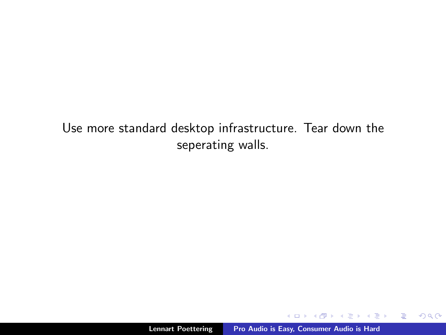Use more standard desktop infrastructure. Tear down the seperating walls.

a mills.

メタメ メミメ メミメー

目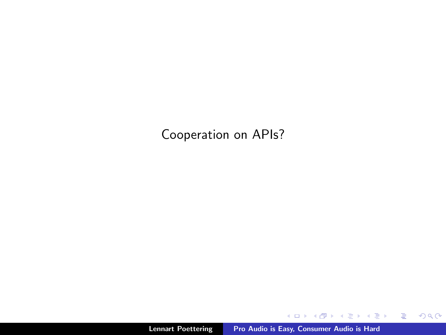Cooperation on APIs?

メロメ メ団 メイ きょく モメー

目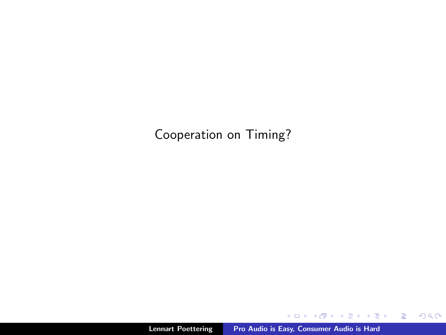Cooperation on Timing?

K ロ ▶ K 御 ▶ K 君 ▶ K 君 ▶ ...

目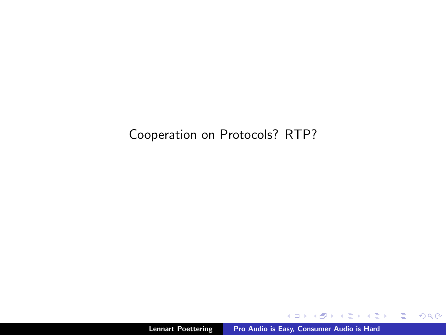### Cooperation on Protocols? RTP?

メロメ メ団 メイ きょく モメー

目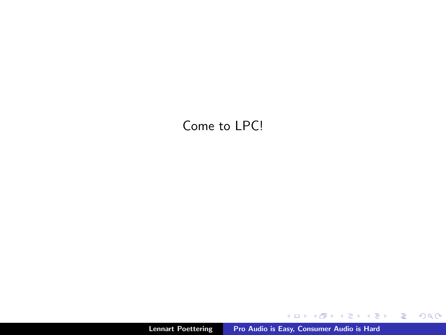## Come to LPC!

メロトメ 御 トメ き トメ き トッ きっ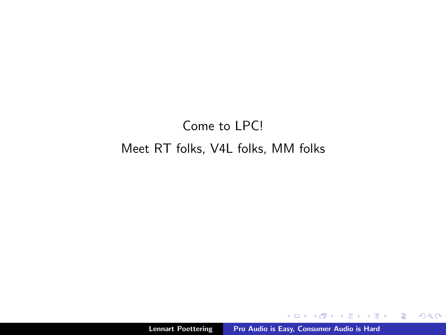# Come to LPC! Meet RT folks, V4L folks, MM folks

 $\leftarrow$   $\Box$ 

 $\overline{A}$   $\overline{B}$   $\rightarrow$   $\overline{A}$   $\overline{B}$   $\rightarrow$   $\overline{A}$   $\overline{B}$   $\rightarrow$ 

 $\equiv$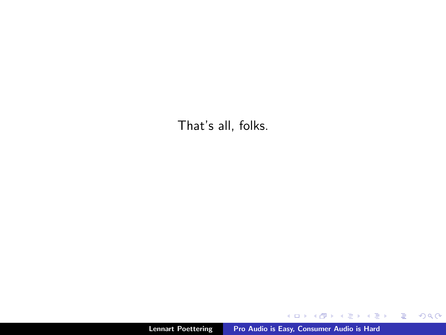That's all, folks.

メロメ メ都 メメ きょうくきょう

目